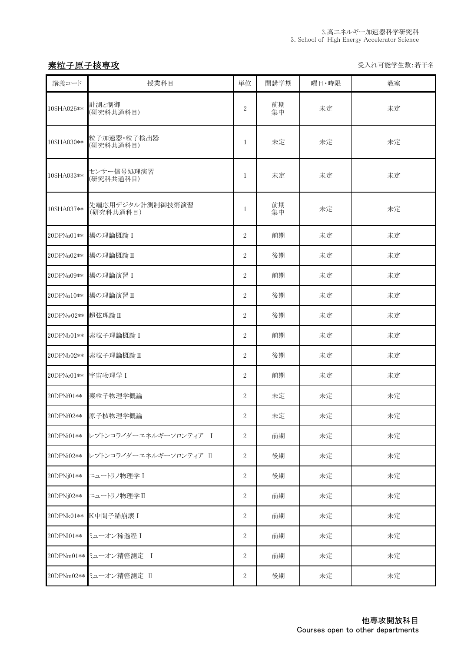# 不能<mark>素粒子原子核専攻</mark> しょうきょうしょう しょうしょう しょうしょう しょうしょう かいりょう 受入れ可能学生数:若干名

| 講義コード      | 授業科目                          | 単位               | 開講学期     | 曜日・時限 | 教室 |
|------------|-------------------------------|------------------|----------|-------|----|
| 10SHA026** | 計測と制御<br>(研究科共通科目)            | $\overline{2}$   | 前期<br>集中 | 未定    | 未定 |
| 10SHA030** | 粒子加速器·粒子検出器<br>(研究科共通科目)      | $\mathbf{1}$     | 未定       | 未定    | 未定 |
| 10SHA033** | センサー信号処理演習<br>(研究科共通科目)       | $\mathbf{1}$     | 未定       | 未定    | 未定 |
| 10SHA037** | 先端応用デジタル計測制御技術演習<br>(研究科共通科目) | 1                | 前期<br>集中 | 未定    | 未定 |
| 20DPNa01** | 場の理論概論 I                      | $\overline{2}$   | 前期       | 未定    | 未定 |
| 20DPNa02** | 場の理論概論II                      | $\overline{2}$   | 後期       | 未定    | 未定 |
| 20DPNa09** | 場の理論演習 I                      | $\overline{2}$   | 前期       | 未定    | 未定 |
|            | 20DPNa10 ** 場の理論演習 II         | $\overline{2}$   | 後期       | 未定    | 未定 |
| 20DPNw02** | 超弦理論 II                       | $\overline{2}$   | 後期       | 未定    | 未定 |
| 20DPNb01** | 素粒子理論概論 I                     | $\overline{2}$   | 前期       | 未定    | 未定 |
| 20DPNb02** | 素粒子理論概論II                     | $\overline{2}$   | 後期       | 未定    | 未定 |
| 20DPNe01** | 宇宙物理学 I                       | $\overline{2}$   | 前期       | 未定    | 未定 |
| 20DPNf01** | 素粒子物理学概論                      | $\overline{2}$   | 未定       | 未定    | 未定 |
| 20DPNf02** | 原子核物理学概論                      | 2                | 未定       | 未定    | 未定 |
| 20DPNi01** | レプトンコライダーエネルギーフロンティア I        | $\overline{2}$   | 前期       | 未定    | 未定 |
| 20DPNi02** | レプトンコライダーエネルギーフロンティア II       | 2                | 後期       | 未定    | 未定 |
| 20DPNj01** | ニュートリノ物理学 I                   | $\overline{2}$   | 後期       | 未定    | 未定 |
| 20DPNj02** | ニュートリノ物理学II                   | $\overline{2}$   | 前期       | 未定    | 未定 |
|            | 20DPNk01 ** K中間子稀崩壊 I         | 2                | 前期       | 未定    | 未定 |
| 20DPN101** | ミューオン稀過程 I                    | 2                | 前期       | 未定    | 未定 |
|            | 20DPNm01** ミューオン精密測定 I        | 2                | 前期       | 未定    | 未定 |
|            | 20DPNm02** ミューオン精密測定 II       | $\boldsymbol{2}$ | 後期       | 未定    | 未定 |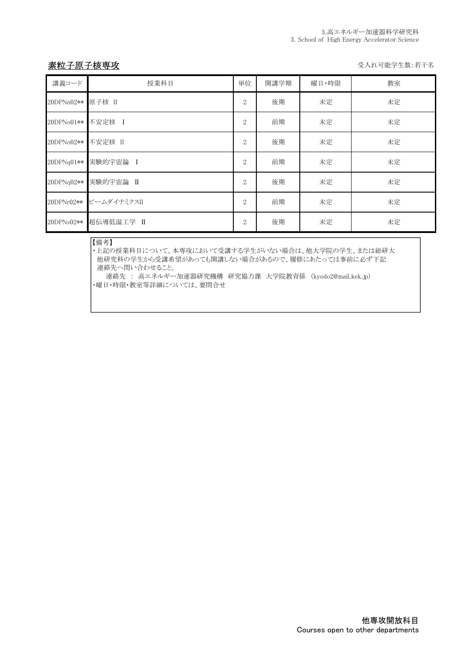## 素粒子原子核専攻 マイン インディー しょうしゃ しょうしゃ かいしゃ かいしゃ かいしゅう えいしゅう えいかい きょうちょう

| 講義コード             | 授業科目                   | 単位             | 開講学期 | 曜日·時限 | 教室 |
|-------------------|------------------------|----------------|------|-------|----|
| 20DPNn02** 原子核 II |                        | $\overline{2}$ | 後期   | 未定    | 未定 |
| 20DPNo01**        | 不安定核 I                 | $\overline{2}$ | 前期   | 未定    | 未定 |
| 20DPNo02**        | 不安定核 II                | $\overline{2}$ | 後期   | 未定    | 未定 |
| 20DPNq01**        | 実験的宇宙論 I               | $\overline{2}$ | 前期   | 未定    | 未定 |
|                   | 20DPNq02** 実験的宇宙論 II   | 2              | 後期   | 未定    | 未定 |
|                   | 20DPNr02** ビームダイナミクスII | $\overline{2}$ | 前期   | 未定    | 未定 |
| 20DPNs02**        | 超伝導低温工学 II             | $\overline{2}$ | 後期   | 未定    | 未定 |

#### 【備考】

--------<br>・上記の授業科目について、本専攻において受講する学生がいない場合は、他大学院の学生、または総研大 他研究科の学生から受講希望があっても開講しない場合があるので、履修にあたっては事前に必ず下記 連絡先へ問い合わせること。

連絡先 : 高エネルギー加速器研究機構 研究協力課 大学院教育係 (kyodo2@mail.kek.jp) ・曜日・時限・教室等詳細については、要問合せ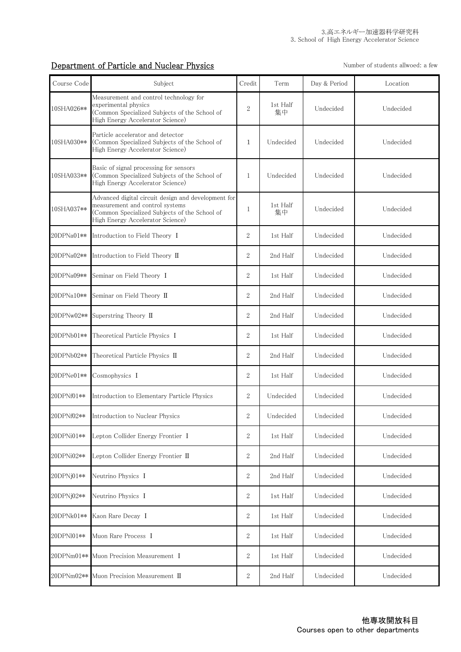# Department of Particle and Nuclear Physics Number of students allwoed: a few

| Course Code | Subject                                                                                                                                                                     | Credit         | Term           | Day & Period | Location  |
|-------------|-----------------------------------------------------------------------------------------------------------------------------------------------------------------------------|----------------|----------------|--------------|-----------|
| 10SHA026**  | Measurement and control technology for<br>experimental physics<br>Common Specialized Subjects of the School of<br>High Energy Accelerator Science)                          | $\overline{2}$ | 1st Half<br>集中 | Undecided    | Undecided |
| 10SHA030**  | Particle accelerator and detector<br>(Common Specialized Subjects of the School of<br>High Energy Accelerator Science)                                                      | 1              | Undecided      | Undecided    | Undecided |
| 10SHA033**  | Basic of signal processing for sensors<br>(Common Specialized Subjects of the School of<br>High Energy Accelerator Science)                                                 | 1              | Undecided      | Undecided    | Undecided |
| 10SHA037**  | Advanced digital circuit design and development for<br>measurement and control systems<br>(Common Specialized Subjects of the School of<br>High Energy Accelerator Science) | 1              | 1st Half<br>集中 | Undecided    | Undecided |
| 20DPNa01**  | Introduction to Field Theory I                                                                                                                                              | $\overline{2}$ | 1st Half       | Undecided    | Undecided |
| 20DPNa02**  | Introduction to Field Theory II                                                                                                                                             | $\overline{2}$ | 2nd Half       | Undecided    | Undecided |
| 20DPNa09**  | Seminar on Field Theory I                                                                                                                                                   | $\overline{2}$ | 1st Half       | Undecided    | Undecided |
| 20DPNa10**  | Seminar on Field Theory II                                                                                                                                                  | $\overline{2}$ | 2nd Half       | Undecided    | Undecided |
| 20DPNw02**  | Superstring Theory II                                                                                                                                                       | $\overline{2}$ | 2nd Half       | Undecided    | Undecided |
| 20DPNb01**  | Theoretical Particle Physics I                                                                                                                                              | $\overline{2}$ | 1st Half       | Undecided    | Undecided |
| 20DPNb02**  | Theoretical Particle Physics II                                                                                                                                             | $\overline{2}$ | 2nd Half       | Undecided    | Undecided |
| 20DPNe01**  | Cosmophysics I                                                                                                                                                              | $\overline{2}$ | 1st Half       | Undecided    | Undecided |
| 20DPNf01**  | Introduction to Elementary Particle Physics                                                                                                                                 | $\overline{2}$ | Undecided      | Undecided    | Undecided |
| 20DPNf02**  | Introduction to Nuclear Physics                                                                                                                                             | $\overline{2}$ | Undecided      | Undecided    | Undecided |
| 20DPNi01**  | Lepton Collider Energy Frontier I                                                                                                                                           | 2              | 1st Half       | Undecided    | Undecided |
| 20DPNi02**  | Lepton Collider Energy Frontier II                                                                                                                                          | 2              | 2nd Half       | Undecided    | Undecided |
| 20DPNi01**  | Neutrino Physics I                                                                                                                                                          | $\overline{2}$ | 2nd Half       | Undecided    | Undecided |
| 20DPNj02**  | Neutrino Physics I                                                                                                                                                          | 2              | 1st Half       | Undecided    | Undecided |
| 20DPNk01**  | Kaon Rare Decay I                                                                                                                                                           | 2              | 1st Half       | Undecided    | Undecided |
| 20DPN101**  | Muon Rare Process I                                                                                                                                                         | 2              | 1st Half       | Undecided    | Undecided |
| 20DPNm01**  | Muon Precision Measurement I                                                                                                                                                | $\overline{2}$ | 1st Half       | Undecided    | Undecided |
| 20DPNm02**  | Muon Precision Measurement II                                                                                                                                               | 2              | 2nd Half       | Undecided    | Undecided |